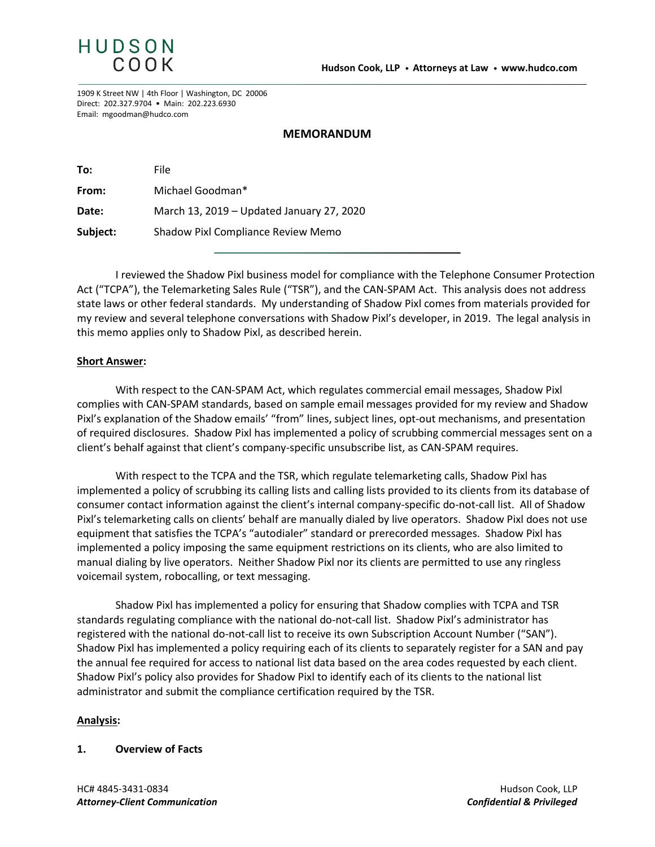

1909 K Street NW | 4th Floor | Washington, DC 20006 Direct: 202.327.9704 • Main: 202.223.6930 Email: mgoodman@hudco.com

### **MEMORANDUM**

| To:      | File                                      |
|----------|-------------------------------------------|
| From:    | Michael Goodman*                          |
| Date:    | March 13, 2019 – Updated January 27, 2020 |
| Subject: | Shadow Pixl Compliance Review Memo        |

I reviewed the Shadow Pixl business model for compliance with the Telephone Consumer Protection Act ("TCPA"), the Telemarketing Sales Rule ("TSR"), and the CAN-SPAM Act. This analysis does not address state laws or other federal standards. My understanding of Shadow Pixl comes from materials provided for my review and several telephone conversations with Shadow Pixl's developer, in 2019. The legal analysis in this memo applies only to Shadow Pixl, as described herein.

### **Short Answer:**

With respect to the CAN-SPAM Act, which regulates commercial email messages, Shadow Pixl complies with CAN-SPAM standards, based on sample email messages provided for my review and Shadow Pixl's explanation of the Shadow emails' "from" lines, subject lines, opt-out mechanisms, and presentation of required disclosures. Shadow Pixl has implemented a policy of scrubbing commercial messages sent on a client's behalf against that client's company-specific unsubscribe list, as CAN-SPAM requires.

With respect to the TCPA and the TSR, which regulate telemarketing calls, Shadow Pixl has implemented a policy of scrubbing its calling lists and calling lists provided to its clients from its database of consumer contact information against the client's internal company-specific do-not-call list. All of Shadow Pixl's telemarketing calls on clients' behalf are manually dialed by live operators. Shadow Pixl does not use equipment that satisfies the TCPA's "autodialer" standard or prerecorded messages. Shadow Pixl has implemented a policy imposing the same equipment restrictions on its clients, who are also limited to manual dialing by live operators. Neither Shadow Pixl nor its clients are permitted to use any ringless voicemail system, robocalling, or text messaging.

Shadow Pixl has implemented a policy for ensuring that Shadow complies with TCPA and TSR standards regulating compliance with the national do-not-call list. Shadow Pixl's administrator has registered with the national do-not-call list to receive its own Subscription Account Number ("SAN"). Shadow Pixl has implemented a policy requiring each of its clients to separately register for a SAN and pay the annual fee required for access to national list data based on the area codes requested by each client. Shadow Pixl's policy also provides for Shadow Pixl to identify each of its clients to the national list administrator and submit the compliance certification required by the TSR.

### **Analysis:**

### **1. Overview of Facts**

HC# 4845-3431-0834 Hudson Cook, LLP *Attorney-Client Communication Confidential & Privileged*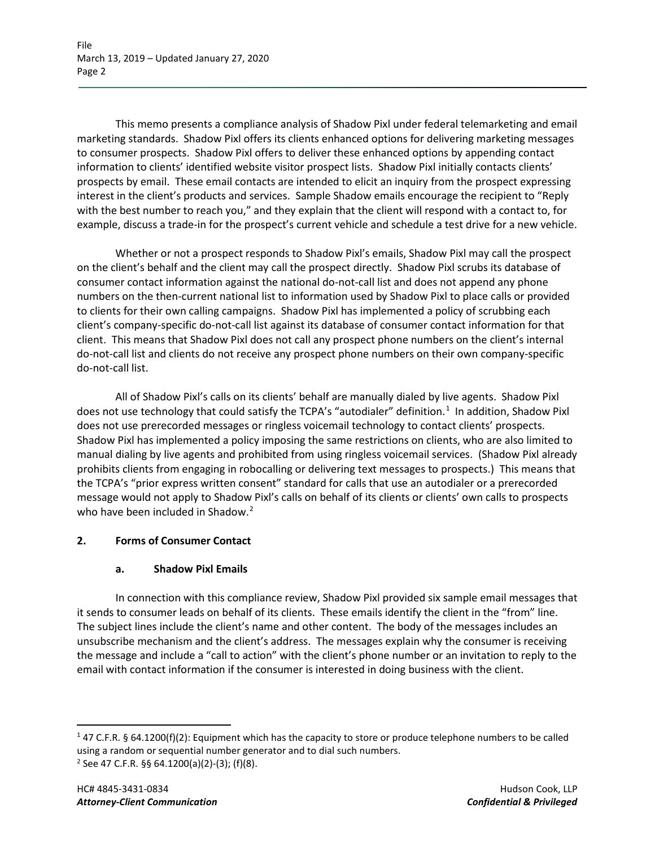This memo presents a compliance analysis of Shadow Pixl under federal telemarketing and email marketing standards. Shadow Pixl offers its clients enhanced options for delivering marketing messages to consumer prospects. Shadow Pixl offers to deliver these enhanced options by appending contact information to clients' identified website visitor prospect lists. Shadow Pixl initially contacts clients' prospects by email. These email contacts are intended to elicit an inquiry from the prospect expressing interest in the client's products and services. Sample Shadow emails encourage the recipient to "Reply with the best number to reach you," and they explain that the client will respond with a contact to, for example, discuss a trade-in for the prospect's current vehicle and schedule a test drive for a new vehicle.

Whether or not a prospect responds to Shadow Pixl's emails, Shadow Pixl may call the prospect on the client's behalf and the client may call the prospect directly. Shadow Pixl scrubs its database of consumer contact information against the national do-not-call list and does not append any phone numbers on the then-current national list to information used by Shadow Pixl to place calls or provided to clients for their own calling campaigns. Shadow Pixl has implemented a policy of scrubbing each client's company-specific do-not-call list against its database of consumer contact information for that client. This means that Shadow Pixl does not call any prospect phone numbers on the client's internal do-not-call list and clients do not receive any prospect phone numbers on their own company-specific do-not-call list.

All of Shadow Pixl's calls on its clients' behalf are manually dialed by live agents. Shadow Pixl does not use technology that could satisfy the TCPA's "autodialer" definition.<sup>[1](#page-1-0)</sup> In addition, Shadow Pixl does not use prerecorded messages or ringless voicemail technology to contact clients' prospects. Shadow Pixl has implemented a policy imposing the same restrictions on clients, who are also limited to manual dialing by live agents and prohibited from using ringless voicemail services. (Shadow Pixl already prohibits clients from engaging in robocalling or delivering text messages to prospects.) This means that the TCPA's "prior express written consent" standard for calls that use an autodialer or a prerecorded message would not apply to Shadow Pixl's calls on behalf of its clients or clients' own calls to prospects who have been included in Shadow.<sup>[2](#page-1-1)</sup>

# **2. Forms of Consumer Contact**

# **a. Shadow Pixl Emails**

In connection with this compliance review, Shadow Pixl provided six sample email messages that it sends to consumer leads on behalf of its clients. These emails identify the client in the "from" line. The subject lines include the client's name and other content. The body of the messages includes an unsubscribe mechanism and the client's address. The messages explain why the consumer is receiving the message and include a "call to action" with the client's phone number or an invitation to reply to the email with contact information if the consumer is interested in doing business with the client.

<span id="page-1-1"></span><span id="page-1-0"></span><sup>1</sup> 47 C.F.R. § 64.1200(f)(2): Equipment which has the capacity to store or produce telephone numbers to be called using a random or sequential number generator and to dial such numbers.  $2$  See 47 C.F.R. §§ 64.1200(a)(2)-(3); (f)(8).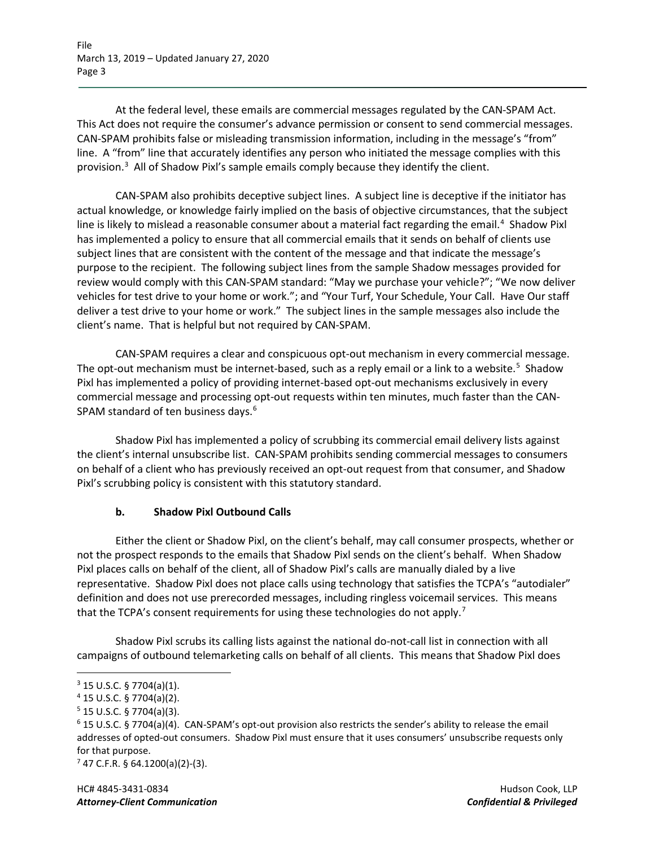File March 13, 2019 – Updated January 27, 2020 Page 3

At the federal level, these emails are commercial messages regulated by the CAN-SPAM Act. This Act does not require the consumer's advance permission or consent to send commercial messages. CAN-SPAM prohibits false or misleading transmission information, including in the message's "from" line. A "from" line that accurately identifies any person who initiated the message complies with this provision.<sup>[3](#page-2-0)</sup> All of Shadow Pixl's sample emails comply because they identify the client.

CAN-SPAM also prohibits deceptive subject lines. A subject line is deceptive if the initiator has actual knowledge, or knowledge fairly implied on the basis of objective circumstances, that the subject line is likely to mislead a reasonable consumer about a material fact regarding the email.<sup>[4](#page-2-1)</sup> Shadow Pixl has implemented a policy to ensure that all commercial emails that it sends on behalf of clients use subject lines that are consistent with the content of the message and that indicate the message's purpose to the recipient. The following subject lines from the sample Shadow messages provided for review would comply with this CAN-SPAM standard: "May we purchase your vehicle?"; "We now deliver vehicles for test drive to your home or work."; and "Your Turf, Your Schedule, Your Call. Have Our staff deliver a test drive to your home or work." The subject lines in the sample messages also include the client's name. That is helpful but not required by CAN-SPAM.

CAN-SPAM requires a clear and conspicuous opt-out mechanism in every commercial message. The opt-out mechanism must be internet-based, such as a reply email or a link to a website.<sup>[5](#page-2-2)</sup> Shadow Pixl has implemented a policy of providing internet-based opt-out mechanisms exclusively in every commercial message and processing opt-out requests within ten minutes, much faster than the CAN-SPAM standard of ten business days.<sup>[6](#page-2-3)</sup>

Shadow Pixl has implemented a policy of scrubbing its commercial email delivery lists against the client's internal unsubscribe list. CAN-SPAM prohibits sending commercial messages to consumers on behalf of a client who has previously received an opt-out request from that consumer, and Shadow Pixl's scrubbing policy is consistent with this statutory standard.

## **b. Shadow Pixl Outbound Calls**

Either the client or Shadow Pixl, on the client's behalf, may call consumer prospects, whether or not the prospect responds to the emails that Shadow Pixl sends on the client's behalf. When Shadow Pixl places calls on behalf of the client, all of Shadow Pixl's calls are manually dialed by a live representative. Shadow Pixl does not place calls using technology that satisfies the TCPA's "autodialer" definition and does not use prerecorded messages, including ringless voicemail services. This means that the TCPA's consent requirements for using these technologies do not apply.<sup>[7](#page-2-4)</sup>

Shadow Pixl scrubs its calling lists against the national do-not-call list in connection with all campaigns of outbound telemarketing calls on behalf of all clients. This means that Shadow Pixl does

<span id="page-2-0"></span> $3$  15 U.S.C. § 7704(a)(1).

<span id="page-2-1"></span><sup>4</sup> 15 U.S.C. § 7704(a)(2).

<span id="page-2-2"></span> $5$  15 U.S.C. § 7704(a)(3).

<span id="page-2-3"></span><sup>6</sup> 15 U.S.C. § 7704(a)(4). CAN-SPAM's opt-out provision also restricts the sender's ability to release the email addresses of opted-out consumers. Shadow Pixl must ensure that it uses consumers' unsubscribe requests only for that purpose.

<span id="page-2-4"></span> $7$  47 C.F.R. § 64.1200(a)(2)-(3).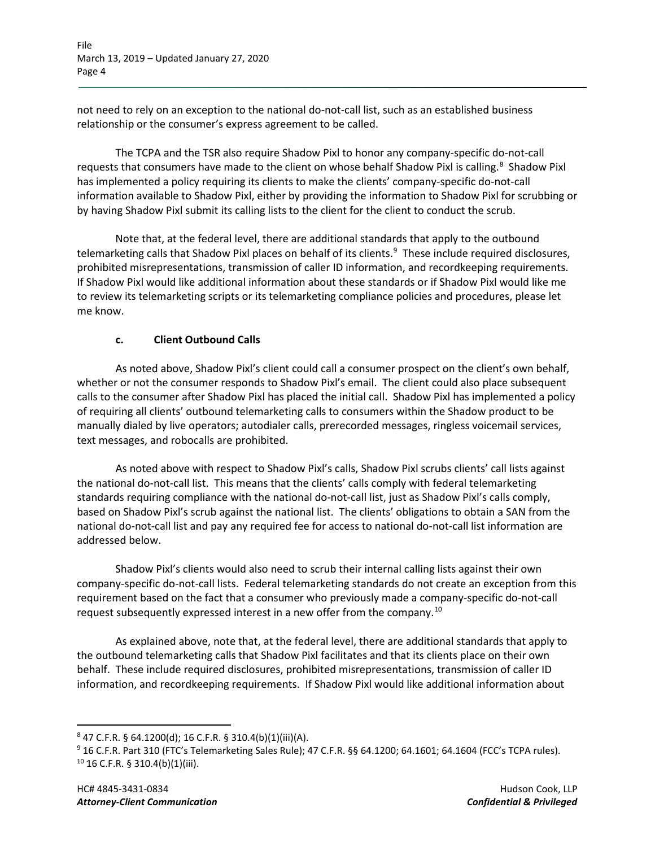File March 13, 2019 – Updated January 27, 2020 Page 4

not need to rely on an exception to the national do-not-call list, such as an established business relationship or the consumer's express agreement to be called.

The TCPA and the TSR also require Shadow Pixl to honor any company-specific do-not-call requests that consumers have made to the client on whose behalf Shadow Pixl is calling.<sup>[8](#page-3-0)</sup> Shadow Pixl has implemented a policy requiring its clients to make the clients' company-specific do-not-call information available to Shadow Pixl, either by providing the information to Shadow Pixl for scrubbing or by having Shadow Pixl submit its calling lists to the client for the client to conduct the scrub.

Note that, at the federal level, there are additional standards that apply to the outbound telemarketing calls that Shadow Pixl places on behalf of its clients. [9](#page-3-1) These include required disclosures, prohibited misrepresentations, transmission of caller ID information, and recordkeeping requirements. If Shadow Pixl would like additional information about these standards or if Shadow Pixl would like me to review its telemarketing scripts or its telemarketing compliance policies and procedures, please let me know.

## **c. Client Outbound Calls**

As noted above, Shadow Pixl's client could call a consumer prospect on the client's own behalf, whether or not the consumer responds to Shadow Pixl's email. The client could also place subsequent calls to the consumer after Shadow Pixl has placed the initial call. Shadow Pixl has implemented a policy of requiring all clients' outbound telemarketing calls to consumers within the Shadow product to be manually dialed by live operators; autodialer calls, prerecorded messages, ringless voicemail services, text messages, and robocalls are prohibited.

As noted above with respect to Shadow Pixl's calls, Shadow Pixl scrubs clients' call lists against the national do-not-call list. This means that the clients' calls comply with federal telemarketing standards requiring compliance with the national do-not-call list, just as Shadow Pixl's calls comply, based on Shadow Pixl's scrub against the national list. The clients' obligations to obtain a SAN from the national do-not-call list and pay any required fee for access to national do-not-call list information are addressed below.

Shadow Pixl's clients would also need to scrub their internal calling lists against their own company-specific do-not-call lists. Federal telemarketing standards do not create an exception from this requirement based on the fact that a consumer who previously made a company-specific do-not-call request subsequently expressed interest in a new offer from the company.[10](#page-3-2)

As explained above, note that, at the federal level, there are additional standards that apply to the outbound telemarketing calls that Shadow Pixl facilitates and that its clients place on their own behalf. These include required disclosures, prohibited misrepresentations, transmission of caller ID information, and recordkeeping requirements. If Shadow Pixl would like additional information about

<span id="page-3-0"></span> $847$  C.F.R. § 64.1200(d); 16 C.F.R. § 310.4(b)(1)(iii)(A).

<span id="page-3-2"></span><span id="page-3-1"></span><sup>&</sup>lt;sup>9</sup> 16 C.F.R. Part 310 (FTC's Telemarketing Sales Rule); 47 C.F.R. §§ 64.1200; 64.1601; 64.1604 (FCC's TCPA rules).  $10$  16 C.F.R. § 310.4(b)(1)(iii).